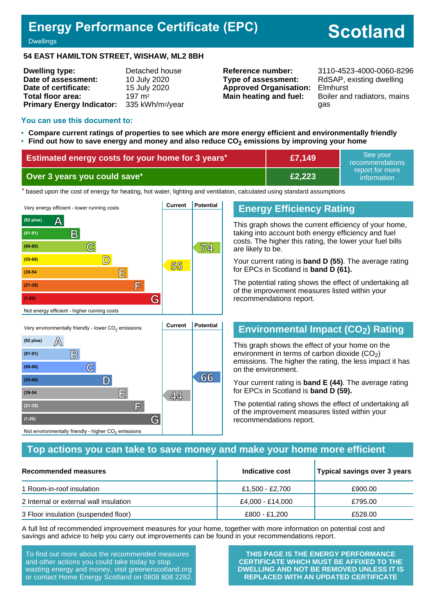# **Energy Performance Certificate (EPC)**

# **Scotland**

**Dwellings** 

#### **54 EAST HAMILTON STREET, WISHAW, ML2 8BH**

| <b>Dwelling type:</b>            | Detached house               |
|----------------------------------|------------------------------|
| Date of assessment:              | 10 July 2020                 |
| Date of certificate:             | 15 July 2020                 |
| Total floor area:                | 197 m <sup>2</sup>           |
| <b>Primary Energy Indicator:</b> | 335 kWh/m <sup>2</sup> /year |

**Type of assessment:** RdSAP, existing dwelling **Approved Organisation:** Elmhurst

**Reference number:** 3110-4523-4000-0060-8296 **Main heating and fuel:** Boiler and radiators, mains gas

#### **You can use this document to:**

- **Compare current ratings of properties to see which are more energy efficient and environmentally friendly**
- **Find out how to save energy and money and also reduce CO2 emissions by improving your home**

| Estimated energy costs for your home for 3 years* | £7,149 | See vour<br>recommendations    |
|---------------------------------------------------|--------|--------------------------------|
| Over 3 years you could save*                      | £2,223 | report for more<br>information |

the based upon the cost of energy for heating, hot water, lighting and ventilation, calculated using standard assumptions



#### **Energy Efficiency Rating**

This graph shows the current efficiency of your home, taking into account both energy efficiency and fuel costs. The higher this rating, the lower your fuel bills are likely to be.

Your current rating is **band D (55)**. The average rating for EPCs in Scotland is **band D (61).**

The potential rating shows the effect of undertaking all of the improvement measures listed within your recommendations report.

## **Environmental Impact (CO2) Rating**

This graph shows the effect of your home on the environment in terms of carbon dioxide  $(CO<sub>2</sub>)$ emissions. The higher the rating, the less impact it has on the environment.

Your current rating is **band E (44)**. The average rating for EPCs in Scotland is **band D (59).**

The potential rating shows the effect of undertaking all of the improvement measures listed within your recommendations report.

#### **Top actions you can take to save money and make your home more efficient**

| Recommended measures                   | Indicative cost  | Typical savings over 3 years |
|----------------------------------------|------------------|------------------------------|
| 1 Room-in-roof insulation              | £1,500 - £2,700  | £900.00                      |
| 2 Internal or external wall insulation | £4,000 - £14,000 | £795.00                      |
| 3 Floor insulation (suspended floor)   | £800 - £1,200    | £528.00                      |

A full list of recommended improvement measures for your home, together with more information on potential cost and savings and advice to help you carry out improvements can be found in your recommendations report.

To find out more about the recommended measures and other actions you could take today to stop wasting energy and money, visit greenerscotland.org or contact Home Energy Scotland on 0808 808 2282.

**(1-20) G**

Not environmentally friendly - higher  $\mathrm{CO}_2$  emissions

**THIS PAGE IS THE ENERGY PERFORMANCE CERTIFICATE WHICH MUST BE AFFIXED TO THE DWELLING AND NOT BE REMOVED UNLESS IT IS REPLACED WITH AN UPDATED CERTIFICATE**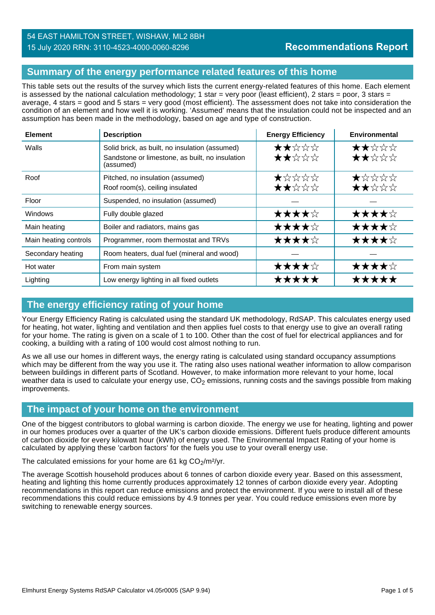## **Summary of the energy performance related features of this home**

This table sets out the results of the survey which lists the current energy-related features of this home. Each element is assessed by the national calculation methodology; 1 star = very poor (least efficient), 2 stars = poor, 3 stars = average, 4 stars = good and 5 stars = very good (most efficient). The assessment does not take into consideration the condition of an element and how well it is working. 'Assumed' means that the insulation could not be inspected and an assumption has been made in the methodology, based on age and type of construction.

| <b>Element</b>        | <b>Description</b>                                           | <b>Energy Efficiency</b> | Environmental |
|-----------------------|--------------------------------------------------------------|--------------------------|---------------|
| Walls                 | Solid brick, as built, no insulation (assumed)               | ★★☆☆☆                    | ★★☆☆☆         |
|                       | Sandstone or limestone, as built, no insulation<br>(assumed) | ★★☆☆☆                    | ★★☆☆☆         |
| Roof                  | Pitched, no insulation (assumed)                             | ★☆☆☆☆                    | ★☆☆☆☆         |
|                       | Roof room(s), ceiling insulated                              | ★★☆☆☆                    | ★★☆☆☆         |
| Floor                 | Suspended, no insulation (assumed)                           |                          |               |
| Windows               | Fully double glazed                                          | ★★★★☆                    | ★★★★☆         |
| Main heating          | Boiler and radiators, mains gas                              | ★★★★☆                    | ★★★★☆         |
| Main heating controls | Programmer, room thermostat and TRVs                         | ★★★★☆                    | ★★★★☆         |
| Secondary heating     | Room heaters, dual fuel (mineral and wood)                   |                          |               |
| Hot water             | From main system                                             | ★★★★☆                    | ★★★★☆         |
| Lighting              | Low energy lighting in all fixed outlets                     | *****                    | *****         |

## **The energy efficiency rating of your home**

Your Energy Efficiency Rating is calculated using the standard UK methodology, RdSAP. This calculates energy used for heating, hot water, lighting and ventilation and then applies fuel costs to that energy use to give an overall rating for your home. The rating is given on a scale of 1 to 100. Other than the cost of fuel for electrical appliances and for cooking, a building with a rating of 100 would cost almost nothing to run.

As we all use our homes in different ways, the energy rating is calculated using standard occupancy assumptions which may be different from the way you use it. The rating also uses national weather information to allow comparison between buildings in different parts of Scotland. However, to make information more relevant to your home, local weather data is used to calculate your energy use,  $CO<sub>2</sub>$  emissions, running costs and the savings possible from making improvements.

#### **The impact of your home on the environment**

One of the biggest contributors to global warming is carbon dioxide. The energy we use for heating, lighting and power in our homes produces over a quarter of the UK's carbon dioxide emissions. Different fuels produce different amounts of carbon dioxide for every kilowatt hour (kWh) of energy used. The Environmental Impact Rating of your home is calculated by applying these 'carbon factors' for the fuels you use to your overall energy use.

The calculated emissions for your home are 61 kg  $CO<sub>2</sub>/m<sup>2</sup>/yr$ .

The average Scottish household produces about 6 tonnes of carbon dioxide every year. Based on this assessment, heating and lighting this home currently produces approximately 12 tonnes of carbon dioxide every year. Adopting recommendations in this report can reduce emissions and protect the environment. If you were to install all of these recommendations this could reduce emissions by 4.9 tonnes per year. You could reduce emissions even more by switching to renewable energy sources.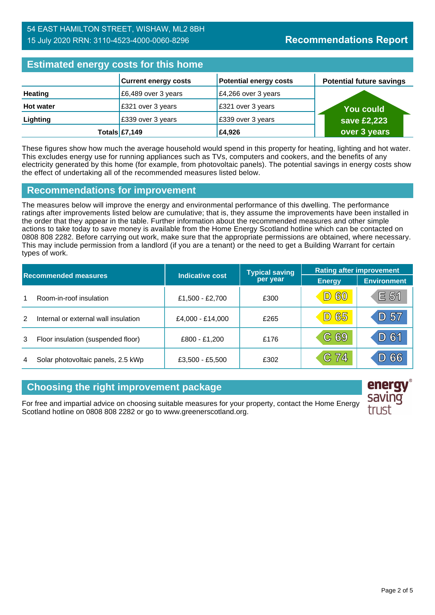## **Estimated energy costs for this home**

| <b>EXIMINIVAL VITULY Y VUOLU TUI TIIN HUILIV</b> |                             |                               |                                 |  |
|--------------------------------------------------|-----------------------------|-------------------------------|---------------------------------|--|
|                                                  | <b>Current energy costs</b> | <b>Potential energy costs</b> | <b>Potential future savings</b> |  |
| <b>Heating</b>                                   | £6,489 over 3 years         | $E4,266$ over 3 years         |                                 |  |
| <b>Hot water</b>                                 | £321 over 3 years           | £321 over 3 years             | <b>You could</b>                |  |
| Lighting                                         | £339 over 3 years           | £339 over 3 years             | save £2,223                     |  |
|                                                  | Totals $E7,149$             | £4,926                        | over 3 years                    |  |

These figures show how much the average household would spend in this property for heating, lighting and hot water. This excludes energy use for running appliances such as TVs, computers and cookers, and the benefits of any electricity generated by this home (for example, from photovoltaic panels). The potential savings in energy costs show the effect of undertaking all of the recommended measures listed below.

## **Recommendations for improvement**

The measures below will improve the energy and environmental performance of this dwelling. The performance ratings after improvements listed below are cumulative; that is, they assume the improvements have been installed in the order that they appear in the table. Further information about the recommended measures and other simple actions to take today to save money is available from the Home Energy Scotland hotline which can be contacted on 0808 808 2282. Before carrying out work, make sure that the appropriate permissions are obtained, where necessary. This may include permission from a landlord (if you are a tenant) or the need to get a Building Warrant for certain types of work.

| <b>Recommended measures</b> |                                      |                        | <b>Typical saving</b> | <b>Rating after improvement</b> |                    |
|-----------------------------|--------------------------------------|------------------------|-----------------------|---------------------------------|--------------------|
|                             |                                      | <b>Indicative cost</b> | per year              | <b>Energy</b>                   | <b>Environment</b> |
|                             | Room-in-roof insulation              | £1,500 - £2,700        | £300                  | <b>D60</b>                      | E 51               |
| $\mathcal{P}$               | Internal or external wall insulation | £4,000 - £14,000       | £265                  | <b>D65</b>                      | D 57               |
| 3                           | Floor insulation (suspended floor)   | £800 - £1,200          | £176                  | C 69                            | D 61               |
| 4                           | Solar photovoltaic panels, 2.5 kWp   | £3,500 - £5,500        | £302                  | C 74                            | D 66               |

## **Choosing the right improvement package**

For free and impartial advice on choosing suitable measures for your property, contact the Home Energy Scotland hotline on 0808 808 2282 or go to www.greenerscotland.org.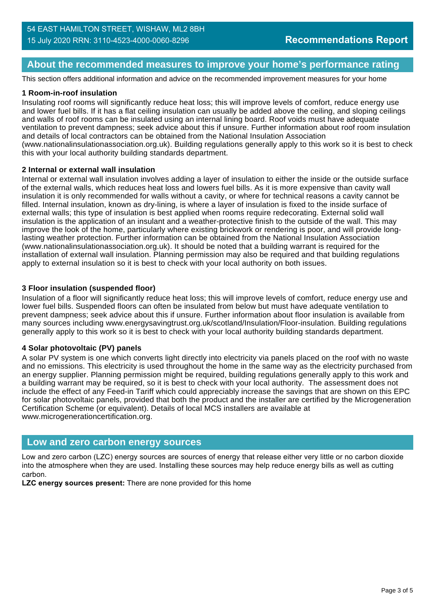## **About the recommended measures to improve your home's performance rating**

This section offers additional information and advice on the recommended improvement measures for your home

#### **1 Room-in-roof insulation**

Insulating roof rooms will significantly reduce heat loss; this will improve levels of comfort, reduce energy use and lower fuel bills. If it has a flat ceiling insulation can usually be added above the ceiling, and sloping ceilings and walls of roof rooms can be insulated using an internal lining board. Roof voids must have adequate ventilation to prevent dampness; seek advice about this if unsure. Further information about roof room insulation and details of local contractors can be obtained from the National Insulation Association (www.nationalinsulationassociation.org.uk). Building regulations generally apply to this work so it is best to check this with your local authority building standards department.

#### **2 Internal or external wall insulation**

Internal or external wall insulation involves adding a layer of insulation to either the inside or the outside surface of the external walls, which reduces heat loss and lowers fuel bills. As it is more expensive than cavity wall insulation it is only recommended for walls without a cavity, or where for technical reasons a cavity cannot be filled. Internal insulation, known as dry-lining, is where a layer of insulation is fixed to the inside surface of external walls; this type of insulation is best applied when rooms require redecorating. External solid wall insulation is the application of an insulant and a weather-protective finish to the outside of the wall. This may improve the look of the home, particularly where existing brickwork or rendering is poor, and will provide longlasting weather protection. Further information can be obtained from the National Insulation Association (www.nationalinsulationassociation.org.uk). It should be noted that a building warrant is required for the installation of external wall insulation. Planning permission may also be required and that building regulations apply to external insulation so it is best to check with your local authority on both issues.

#### **3 Floor insulation (suspended floor)**

Insulation of a floor will significantly reduce heat loss; this will improve levels of comfort, reduce energy use and lower fuel bills. Suspended floors can often be insulated from below but must have adequate ventilation to prevent dampness; seek advice about this if unsure. Further information about floor insulation is available from many sources including www.energysavingtrust.org.uk/scotland/Insulation/Floor-insulation. Building regulations generally apply to this work so it is best to check with your local authority building standards department.

#### **4 Solar photovoltaic (PV) panels**

A solar PV system is one which converts light directly into electricity via panels placed on the roof with no waste and no emissions. This electricity is used throughout the home in the same way as the electricity purchased from an energy supplier. Planning permission might be required, building regulations generally apply to this work and a building warrant may be required, so it is best to check with your local authority. The assessment does not include the effect of any Feed-in Tariff which could appreciably increase the savings that are shown on this EPC for solar photovoltaic panels, provided that both the product and the installer are certified by the Microgeneration Certification Scheme (or equivalent). Details of local MCS installers are available at www.microgenerationcertification.org.

#### **Low and zero carbon energy sources**

Low and zero carbon (LZC) energy sources are sources of energy that release either very little or no carbon dioxide into the atmosphere when they are used. Installing these sources may help reduce energy bills as well as cutting carbon.

**LZC energy sources present:** There are none provided for this home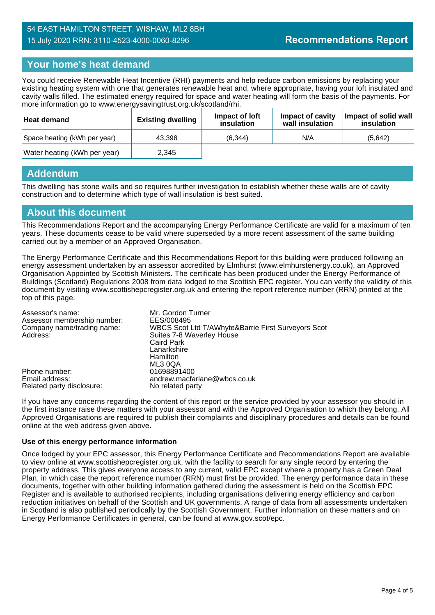## **Your home's heat demand**

You could receive Renewable Heat Incentive (RHI) payments and help reduce carbon emissions by replacing your existing heating system with one that generates renewable heat and, where appropriate, having your loft insulated and cavity walls filled. The estimated energy required for space and water heating will form the basis of the payments. For more information go to www.energysavingtrust.org.uk/scotland/rhi.

| <b>Heat demand</b>           | <b>Existing dwelling</b> | Impact of Joft<br>insulation | Impact of cavity<br>wall insulation | Impact of solid wall<br>insulation |
|------------------------------|--------------------------|------------------------------|-------------------------------------|------------------------------------|
| Space heating (kWh per year) | 43.398                   | (6.344)                      | N/A                                 | (5.642)                            |
| Water heating (kWh per year) | 2.345                    |                              |                                     |                                    |

#### **Addendum**

This dwelling has stone walls and so requires further investigation to establish whether these walls are of cavity construction and to determine which type of wall insulation is best suited.

#### **About this document**

This Recommendations Report and the accompanying Energy Performance Certificate are valid for a maximum of ten years. These documents cease to be valid where superseded by a more recent assessment of the same building carried out by a member of an Approved Organisation.

The Energy Performance Certificate and this Recommendations Report for this building were produced following an energy assessment undertaken by an assessor accredited by Elmhurst (www.elmhurstenergy.co.uk), an Approved Organisation Appointed by Scottish Ministers. The certificate has been produced under the Energy Performance of Buildings (Scotland) Regulations 2008 from data lodged to the Scottish EPC register. You can verify the validity of this document by visiting www.scottishepcregister.org.uk and entering the report reference number (RRN) printed at the top of this page.

| Assessor's name:<br>Assessor membership number: | Mr. Gordon Turner<br>EES/008495                    |
|-------------------------------------------------|----------------------------------------------------|
| Company name/trading name:                      | WBCS Scot Ltd T/AWhyte&Barrie First Surveyors Scot |
| Address:                                        | Suites 7-8 Waverley House                          |
|                                                 | <b>Caird Park</b>                                  |
|                                                 | Lanarkshire                                        |
|                                                 | Hamilton                                           |
|                                                 | ML3 0QA                                            |
| Phone number:                                   | 01698891400                                        |
| Email address:                                  | andrew.macfarlane@wbcs.co.uk                       |
| Related party disclosure:                       | No related party                                   |

If you have any concerns regarding the content of this report or the service provided by your assessor you should in the first instance raise these matters with your assessor and with the Approved Organisation to which they belong. All Approved Organisations are required to publish their complaints and disciplinary procedures and details can be found online at the web address given above.

#### **Use of this energy performance information**

Once lodged by your EPC assessor, this Energy Performance Certificate and Recommendations Report are available to view online at www.scottishepcregister.org.uk, with the facility to search for any single record by entering the property address. This gives everyone access to any current, valid EPC except where a property has a Green Deal Plan, in which case the report reference number (RRN) must first be provided. The energy performance data in these documents, together with other building information gathered during the assessment is held on the Scottish EPC Register and is available to authorised recipients, including organisations delivering energy efficiency and carbon reduction initiatives on behalf of the Scottish and UK governments. A range of data from all assessments undertaken in Scotland is also published periodically by the Scottish Government. Further information on these matters and on Energy Performance Certificates in general, can be found at www.gov.scot/epc.